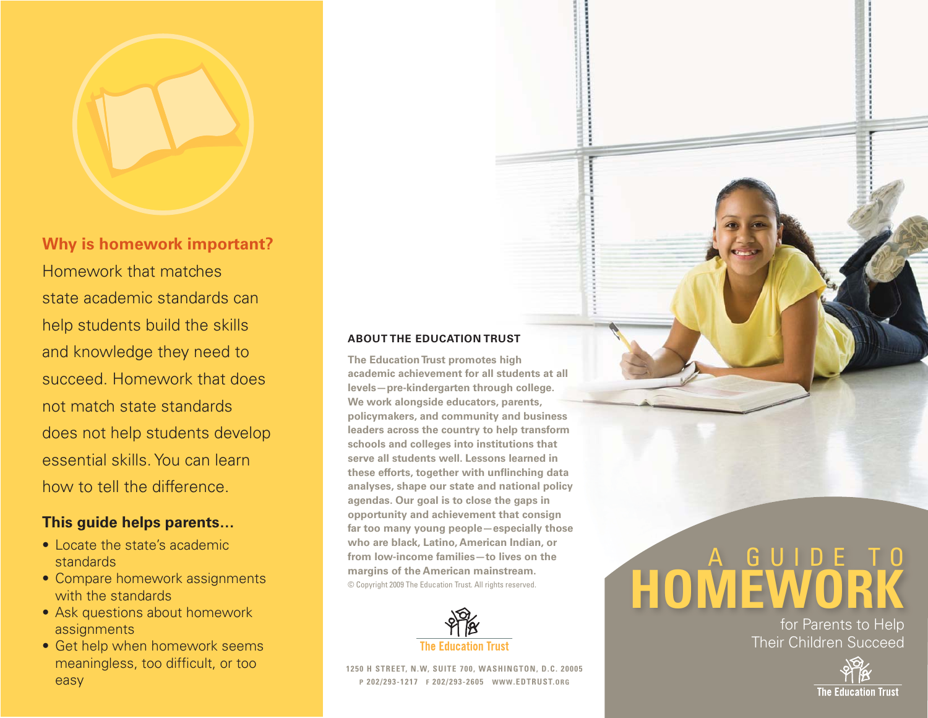

**Why is homework important?** Homework that matches state academic standards can help students build the skills and knowledge they need to succeed. Homework that does not match state standards does not help students develop essential skills. You can learn how to tell the difference.

# **This guide helps parents…**

- Locate the state's academic standards
- Compare homework assignments with the standards
- Ask questions about homework assignments
- Get help when homework seems meaningless, too difficult, or too easy

### **ABOUT THE EDUCATION TRUST**

**The Education Trust promotes high academic achievement for all students at all levels—pre-kindergarten through college. We work alongside educators, parents, policymakers, and community and business leaders across the country to help transform schools and colleges into institutions that serve all students well. Lessons learned in** these efforts, together with unflinching data **analyses, shape our state and national policy agendas. Our goal is to close the gaps in opportunity and achievement that consign far too many young people—especially those who are black, Latino, American Indian, or from low-income families—to lives on the margins of the American mainstream.** © Copyright 2009 The Education Trust. All rights reserved.



**1250 H STREET, N.W, SUITE 700, WASHINGTON, D.C. 20005 P 202/293-1217 F 202/293-2605 WWW.EDTRUST.ORG**

# A GUIDE TO **HOMEWORK**

for Parents to Help Their Children Succeed